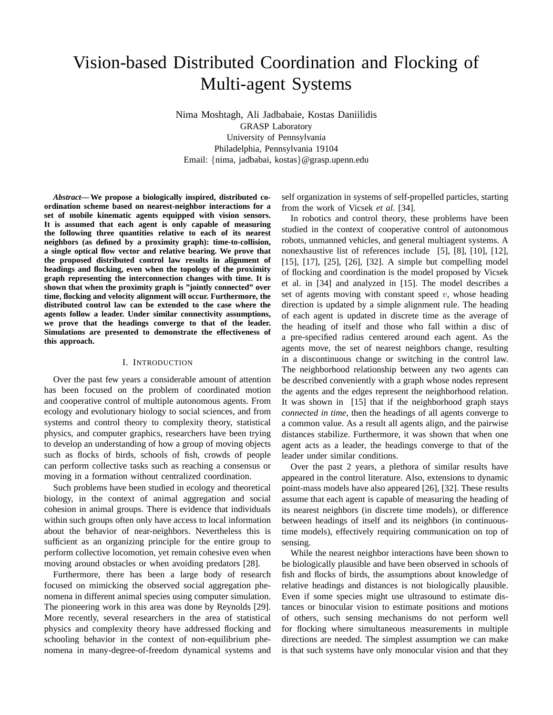# Vision-based Distributed Coordination and Flocking of Multi-agent Systems

Nima Moshtagh, Ali Jadbabaie, Kostas Daniilidis GRASP Laboratory University of Pennsylvania Philadelphia, Pennsylvania 19104 Email: {nima, jadbabai, kostas}@grasp.upenn.edu

*Abstract***— We propose a biologically inspired, distributed coordination scheme based on nearest-neighbor interactions for a set of mobile kinematic agents equipped with vision sensors. It is assumed that each agent is only capable of measuring the following three quantities relative to each of its nearest neighbors (as defined by a proximity graph): time-to-collision, a single optical flow vector and relative bearing. We prove that the proposed distributed control law results in alignment of headings and flocking, even when the topology of the proximity graph representing the interconnection changes with time. It is shown that when the proximity graph is "jointly connected" over time, flocking and velocity alignment will occur. Furthermore, the distributed control law can be extended to the case where the agents follow a leader. Under similar connectivity assumptions, we prove that the headings converge to that of the leader. Simulations are presented to demonstrate the effectiveness of this approach.**

## I. INTRODUCTION

Over the past few years a considerable amount of attention has been focused on the problem of coordinated motion and cooperative control of multiple autonomous agents. From ecology and evolutionary biology to social sciences, and from systems and control theory to complexity theory, statistical physics, and computer graphics, researchers have been trying to develop an understanding of how a group of moving objects such as flocks of birds, schools of fish, crowds of people can perform collective tasks such as reaching a consensus or moving in a formation without centralized coordination.

Such problems have been studied in ecology and theoretical biology, in the context of animal aggregation and social cohesion in animal groups. There is evidence that individuals within such groups often only have access to local information about the behavior of near-neighbors. Nevertheless this is sufficient as an organizing principle for the entire group to perform collective locomotion, yet remain cohesive even when moving around obstacles or when avoiding predators [28].

Furthermore, there has been a large body of research focused on mimicking the observed social aggregation phenomena in different animal species using computer simulation. The pioneering work in this area was done by Reynolds [29]. More recently, several researchers in the area of statistical physics and complexity theory have addressed flocking and schooling behavior in the context of non-equilibrium phenomena in many-degree-of-freedom dynamical systems and self organization in systems of self-propelled particles, starting from the work of Vicsek *et al.* [34].

In robotics and control theory, these problems have been studied in the context of cooperative control of autonomous robots, unmanned vehicles, and general multiagent systems. A nonexhaustive list of references include [5], [8], [10], [12], [15], [17], [25], [26], [32]. A simple but compelling model of flocking and coordination is the model proposed by Vicsek et al. in [34] and analyzed in [15]. The model describes a set of agents moving with constant speed  $v$ , whose heading direction is updated by a simple alignment rule. The heading of each agent is updated in discrete time as the average of the heading of itself and those who fall within a disc of a pre-specified radius centered around each agent. As the agents move, the set of nearest neighbors change, resulting in a discontinuous change or switching in the control law. The neighborhood relationship between any two agents can be described conveniently with a graph whose nodes represent the agents and the edges represent the neighborhood relation. It was shown in [15] that if the neighborhood graph stays *connected in time*, then the headings of all agents converge to a common value. As a result all agents align, and the pairwise distances stabilize. Furthermore, it was shown that when one agent acts as a leader, the headings converge to that of the leader under similar conditions.

Over the past 2 years, a plethora of similar results have appeared in the control literature. Also, extensions to dynamic point-mass models have also appeared [26], [32]. These results assume that each agent is capable of measuring the heading of its nearest neighbors (in discrete time models), or difference between headings of itself and its neighbors (in continuoustime models), effectively requiring communication on top of sensing.

While the nearest neighbor interactions have been shown to be biologically plausible and have been observed in schools of fish and flocks of birds, the assumptions about knowledge of relative headings and distances is not biologically plausible. Even if some species might use ultrasound to estimate distances or binocular vision to estimate positions and motions of others, such sensing mechanisms do not perform well for flocking where simultaneous measurements in multiple directions are needed. The simplest assumption we can make is that such systems have only monocular vision and that they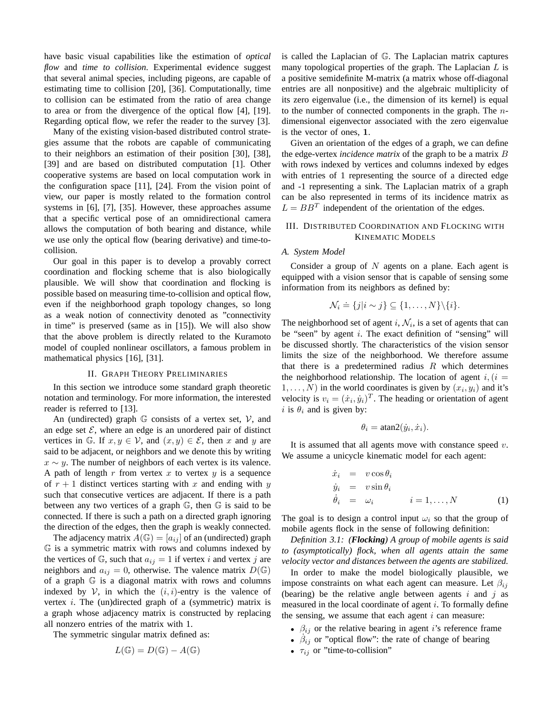have basic visual capabilities like the estimation of *optical flow* and *time to collision*. Experimental evidence suggest that several animal species, including pigeons, are capable of estimating time to collision [20], [36]. Computationally, time to collision can be estimated from the ratio of area change to area or from the divergence of the optical flow [4], [19]. Regarding optical flow, we refer the reader to the survey [3].

Many of the existing vision-based distributed control strategies assume that the robots are capable of communicating to their neighbors an estimation of their position [30], [38], [39] and are based on distributed computation [1]. Other cooperative systems are based on local computation work in the configuration space [11], [24]. From the vision point of view, our paper is mostly related to the formation control systems in [6], [7], [35]. However, these approaches assume that a specific vertical pose of an omnidirectional camera allows the computation of both bearing and distance, while we use only the optical flow (bearing derivative) and time-tocollision.

Our goal in this paper is to develop a provably correct coordination and flocking scheme that is also biologically plausible. We will show that coordination and flocking is possible based on measuring time-to-collision and optical flow, even if the neighborhood graph topology changes, so long as a weak notion of connectivity denoted as "connectivity in time" is preserved (same as in [15]). We will also show that the above problem is directly related to the Kuramoto model of coupled nonlinear oscillators, a famous problem in mathematical physics [16], [31].

#### II. GRAPH THEORY PRELIMINARIES

In this section we introduce some standard graph theoretic notation and terminology. For more information, the interested reader is referred to [13].

An (undirected) graph  $\mathbb G$  consists of a vertex set,  $\mathcal V$ , and an edge set  $\mathcal{E}$ , where an edge is an unordered pair of distinct vertices in G. If  $x, y \in V$ , and  $(x, y) \in \mathcal{E}$ , then x and y are said to be adjacent, or neighbors and we denote this by writing  $x \sim y$ . The number of neighbors of each vertex is its valence. A path of length r from vertex x to vertex y is a sequence of  $r + 1$  distinct vertices starting with x and ending with y such that consecutive vertices are adjacent. If there is a path between any two vertices of a graph G, then G is said to be connected. If there is such a path on a directed graph ignoring the direction of the edges, then the graph is weakly connected.

The adjacency matrix  $A(\mathbb{G}) = [a_{ij}]$  of an (undirected) graph G is a symmetric matrix with rows and columns indexed by the vertices of  $\mathbb{G}$ , such that  $a_{ij} = 1$  if vertex i and vertex j are neighbors and  $a_{ij} = 0$ , otherwise. The valence matrix  $D(\mathbb{G})$ of a graph G is a diagonal matrix with rows and columns indexed by  $V$ , in which the  $(i, i)$ -entry is the valence of vertex  $i$ . The (un)directed graph of a (symmetric) matrix is a graph whose adjacency matrix is constructed by replacing all nonzero entries of the matrix with 1.

The symmetric singular matrix defined as:

$$
L(\mathbb{G}) = D(\mathbb{G}) - A(\mathbb{G})
$$

is called the Laplacian of G. The Laplacian matrix captures many topological properties of the graph. The Laplacian  $L$  is a positive semidefinite M-matrix (a matrix whose off-diagonal entries are all nonpositive) and the algebraic multiplicity of its zero eigenvalue (i.e., the dimension of its kernel) is equal to the number of connected components in the graph. The ndimensional eigenvector associated with the zero eigenvalue is the vector of ones, 1.

Given an orientation of the edges of a graph, we can define the edge-vertex *incidence matrix* of the graph to be a matrix B with rows indexed by vertices and columns indexed by edges with entries of 1 representing the source of a directed edge and -1 representing a sink. The Laplacian matrix of a graph can be also represented in terms of its incidence matrix as  $L = BB<sup>T</sup>$  independent of the orientation of the edges.

## III. DISTRIBUTED COORDINATION AND FLOCKING WITH KINEMATIC MODELS

## *A. System Model*

Consider a group of  $N$  agents on a plane. Each agent is equipped with a vision sensor that is capable of sensing some information from its neighbors as defined by:

$$
\mathcal{N}_i \doteq \{j|i \sim j\} \subseteq \{1, \ldots, N\} \backslash \{i\}.
$$

The neighborhood set of agent i,  $\mathcal{N}_i$ , is a set of agents that can be "seen" by agent  $i$ . The exact definition of "sensing" will be discussed shortly. The characteristics of the vision sensor limits the size of the neighborhood. We therefore assume that there is a predetermined radius  $R$  which determines the neighborhood relationship. The location of agent  $i, (i =$  $1, \ldots, N$ ) in the world coordinates is given by  $(x_i, y_i)$  and it's velocity is  $v_i = (\dot{x}_i, \dot{y}_i)^T$ . The heading or orientation of agent i is  $\theta_i$  and is given by:

$$
\theta_i = \operatorname{atan2}(\dot{y}_i, \dot{x}_i).
$$

It is assumed that all agents move with constance speed  $v$ . We assume a unicycle kinematic model for each agent:

$$
\dot{x}_i = v \cos \theta_i \n\dot{y}_i = v \sin \theta_i \n\dot{\theta}_i = \omega_i \qquad i = 1, ..., N
$$
\n(1)

The goal is to design a control input  $\omega_i$  so that the group of mobile agents flock in the sense of following definition:

*Definition 3.1: (Flocking) A group of mobile agents is said to (asymptotically) flock, when all agents attain the same velocity vector and distances between the agents are stabilized.*

In order to make the model biologically plausible, we impose constraints on what each agent can measure. Let  $\beta_{ii}$ (bearing) be the relative angle between agents  $i$  and  $j$  as measured in the local coordinate of agent  $i$ . To formally define the sensing, we assume that each agent  $i$  can measure:

- $\beta_{ij}$  or the relative bearing in agent i's reference frame
- $\beta_{ij}$  or "optical flow": the rate of change of bearing
- $\tau_{ij}$  or "time-to-collision"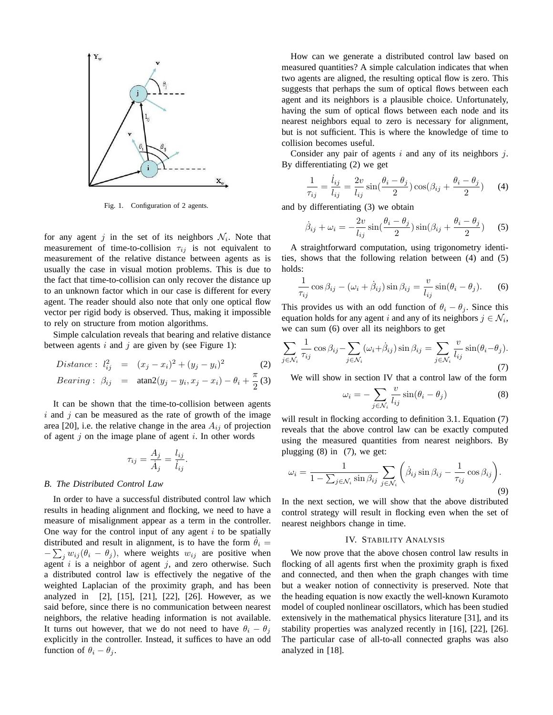

Fig. 1. Configuration of 2 agents.

for any agent j in the set of its neighbors  $\mathcal{N}_i$ . Note that measurement of time-to-collision  $\tau_{ij}$  is not equivalent to measurement of the relative distance between agents as is usually the case in visual motion problems. This is due to the fact that time-to-collision can only recover the distance up to an unknown factor which in our case is different for every agent. The reader should also note that only one optical flow vector per rigid body is observed. Thus, making it impossible to rely on structure from motion algorithms.

Simple calculation reveals that bearing and relative distance between agents  $i$  and  $j$  are given by (see Figure 1):

Distance: 
$$
l_{ij}^2 = (x_j - x_i)^2 + (y_j - y_i)^2
$$
 (2)  
Bearing:  $\beta_{ij} = \tan 2(y_j - y_i, x_j - x_i) - \theta_i + \frac{\pi}{2}$  (3)

It can be shown that the time-to-collision between agents  $i$  and  $j$  can be measured as the rate of growth of the image area [20], i.e. the relative change in the area  $A_{ij}$  of projection of agent  $j$  on the image plane of agent  $i$ . In other words

$$
\tau_{ij} = \frac{A_j}{\dot{A}_j} = \frac{l_{ij}}{\dot{l}_{ij}}.
$$

#### *B. The Distributed Control Law*

In order to have a successful distributed control law which results in heading alignment and flocking, we need to have a measure of misalignment appear as a term in the controller. One way for the control input of any agent  $i$  to be spatially distributed and result in alignment, is to have the form  $\dot{\theta}_i$  =  $-\sum_j w_{ij} (\theta_i - \theta_j)$ , where weights  $w_{ij}$  are positive when agent  $i$  is a neighbor of agent  $j$ , and zero otherwise. Such a distributed control law is effectively the negative of the weighted Laplacian of the proximity graph, and has been analyzed in [2], [15], [21], [22], [26]. However, as we said before, since there is no communication between nearest neighbors, the relative heading information is not available. It turns out however, that we do not need to have  $\theta_i - \theta_j$ explicitly in the controller. Instead, it suffices to have an odd function of  $\theta_i - \theta_j$ .

How can we generate a distributed control law based on measured quantities? A simple calculation indicates that when two agents are aligned, the resulting optical flow is zero. This suggests that perhaps the sum of optical flows between each agent and its neighbors is a plausible choice. Unfortunately, having the sum of optical flows between each node and its nearest neighbors equal to zero is necessary for alignment, but is not sufficient. This is where the knowledge of time to collision becomes useful.

Consider any pair of agents  $i$  and any of its neighbors  $j$ . By differentiating (2) we get

$$
\frac{1}{\tau_{ij}} = \frac{\dot{l}_{ij}}{l_{ij}} = \frac{2v}{l_{ij}} \sin(\frac{\theta_i - \theta_j}{2}) \cos(\beta_{ij} + \frac{\theta_i - \theta_j}{2}) \tag{4}
$$

and by differentiating (3) we obtain

$$
\dot{\beta}_{ij} + \omega_i = -\frac{2v}{l_{ij}} \sin(\frac{\theta_i - \theta_j}{2}) \sin(\beta_{ij} + \frac{\theta_i - \theta_j}{2}) \quad (5)
$$

A straightforward computation, using trigonometry identities, shows that the following relation between (4) and (5) holds:

$$
\frac{1}{\tau_{ij}}\cos\beta_{ij} - (\omega_i + \dot{\beta}_{ij})\sin\beta_{ij} = \frac{v}{l_{ij}}\sin(\theta_i - \theta_j). \tag{6}
$$

This provides us with an odd function of  $\theta_i - \theta_j$ . Since this equation holds for any agent i and any of its neighbors  $j \in \mathcal{N}_i$ , we can sum (6) over all its neighbors to get

$$
\sum_{j \in \mathcal{N}_i} \frac{1}{\tau_{ij}} \cos \beta_{ij} - \sum_{j \in \mathcal{N}_i} (\omega_i + \dot{\beta}_{ij}) \sin \beta_{ij} = \sum_{j \in \mathcal{N}_i} \frac{v}{l_{ij}} \sin(\theta_i - \theta_j).
$$
\n(7)

We will show in section IV that a control law of the form

$$
\omega_i = -\sum_{j \in \mathcal{N}_i} \frac{v}{l_{ij}} \sin(\theta_i - \theta_j)
$$
 (8)

will result in flocking according to definition 3.1. Equation (7) reveals that the above control law can be exactly computed using the measured quantities from nearest neighbors. By plugging (8) in (7), we get:

$$
\omega_i = \frac{1}{1 - \sum_{j \in \mathcal{N}_i} \sin \beta_{ij}} \sum_{j \in \mathcal{N}_i} \left( \dot{\beta}_{ij} \sin \beta_{ij} - \frac{1}{\tau_{ij}} \cos \beta_{ij} \right).
$$
\n(9)

In the next section, we will show that the above distributed control strategy will result in flocking even when the set of nearest neighbors change in time.

#### IV. STABILITY ANALYSIS

We now prove that the above chosen control law results in flocking of all agents first when the proximity graph is fixed and connected, and then when the graph changes with time but a weaker notion of connectivity is preserved. Note that the heading equation is now exactly the well-known Kuramoto model of coupled nonlinear oscillators, which has been studied extensively in the mathematical physics literature [31], and its stability properties was analyzed recently in [16], [22], [26]. The particular case of all-to-all connected graphs was also analyzed in [18].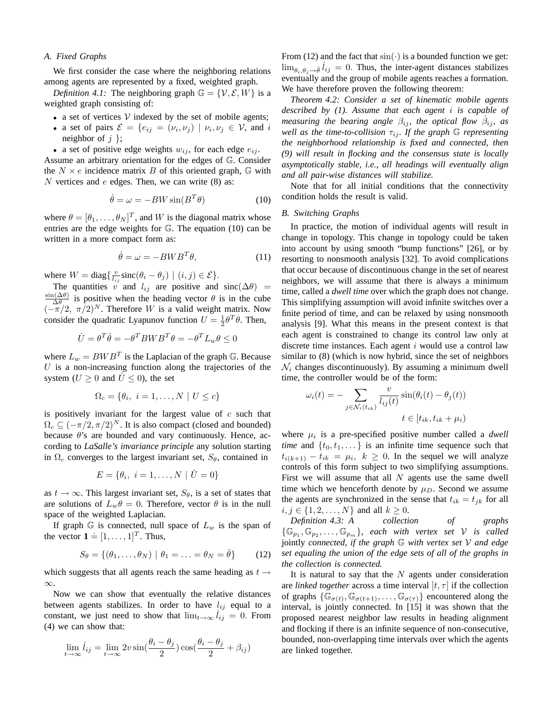#### *A. Fixed Graphs*

We first consider the case where the neighboring relations among agents are represented by a fixed, weighted graph.

*Definition 4.1:* The neighboring graph  $\mathbb{G} = \{V, \mathcal{E}, W\}$  is a weighted graph consisting of:

- a set of vertices  $V$  indexed by the set of mobile agents;
- a set of pairs  $\mathcal{E} = \{e_{ij} = (\nu_i, \nu_j) \mid \nu_i, \nu_j \in \mathcal{V}$ , and i neighbor of  $j$  };

• a set of positive edge weights  $w_{ij}$ , for each edge  $e_{ij}$ .

Assume an arbitrary orientation for the edges of G. Consider the  $N \times e$  incidence matrix B of this oriented graph, G with  $N$  vertices and  $e$  edges. Then, we can write (8) as:

$$
\dot{\theta} = \omega = -BW\sin(B^T\theta) \tag{10}
$$

where  $\theta = [\theta_1, \dots, \theta_N]^T$ , and W is the diagonal matrix whose entries are the edge weights for G. The equation (10) can be written in a more compact form as:

$$
\dot{\theta} = \omega = -BWB^T\theta,\tag{11}
$$

where  $W = \text{diag}\left\{\frac{v}{l_{ij}}\text{sinc}(\theta_i - \theta_j) \mid (i, j) \in \mathcal{E}\right\}.$ 

The quantities v and  $l_{ij}$  are positive and sinc( $\Delta\theta$ ) =  $\sin(\Delta\theta)$  $\frac{\partial (\Delta \theta)}{\partial \theta}$  is positive when the heading vector  $\theta$  is in the cube  $(-\pi/2, \pi/2)^N$ . Therefore W is a valid weight matrix. Now consider the quadratic Lyapunov function  $U = \frac{1}{2} \theta^T \theta$ . Then,

$$
\dot{U}=\theta^T\dot{\theta}=-\theta^T B W B^T \theta=-\theta^T L_w \theta\leq 0
$$

where  $L_w = BWB^T$  is the Laplacian of the graph G. Because  $U$  is a non-increasing function along the trajectories of the system ( $U > 0$  and  $\dot{U} \le 0$ ), the set

$$
\Omega_c = \{ \theta_i, \ i = 1, \dots, N \mid U \le c \}
$$

is positively invariant for the largest value of  $c$  such that  $\Omega_c \subseteq (-\pi/2, \pi/2)^N$ . It is also compact (closed and bounded) because  $\theta$ 's are bounded and vary continuously. Hence, according to *LaSalle's invariance principle* any solution starting in  $\Omega_c$  converges to the largest invariant set,  $S_\theta$ , contained in

$$
E = \{ \theta_i, \ i = 1, \dots, N \mid \dot{U} = 0 \}
$$

as  $t \to \infty$ . This largest invariant set,  $S_{\theta}$ , is a set of states that are solutions of  $L_w \theta = 0$ . Therefore, vector  $\theta$  is in the null space of the weighted Laplacian.

If graph  $\mathbb G$  is connected, null space of  $L_w$  is the span of the vector  $\mathbf{1} = [1, \dots, 1]^T$ . Thus,

$$
S_{\theta} = \{(\theta_1, \dots, \theta_N) \mid \theta_1 = \dots = \theta_N = \bar{\theta}\} \qquad (12)
$$

which suggests that all agents reach the same heading as  $t \rightarrow$ ∞.

Now we can show that eventually the relative distances between agents stabilizes. In order to have  $l_{ij}$  equal to a constant, we just need to show that  $\lim_{t\to\infty} i_{ij} = 0$ . From (4) we can show that:

$$
\lim_{t \to \infty} \dot{l}_{ij} = \lim_{t \to \infty} 2v \sin(\frac{\theta_i - \theta_j}{2}) \cos(\frac{\theta_i - \theta_j}{2} + \beta_{ij})
$$

From (12) and the fact that  $sin(\cdot)$  is a bounded function we get:  $\lim_{\theta_i, \theta_j \to \bar{\theta}} l_{ij} = 0$ . Thus, the inter-agent distances stabilizes eventually and the group of mobile agents reaches a formation. We have therefore proven the following theorem:

*Theorem 4.2: Consider a set of kinematic mobile agents described by (1). Assume that each agent* i *is capable of measuring the bearing angle*  $\beta_{ij}$ , the optical flow  $\beta_{ij}$ , as *well as the time-to-collision*  $\tau_{ij}$ *. If the graph* G *representing the neighborhood relationship is fixed and connected, then (9) will result in flocking and the consensus state is locally asymptotically stable, i.e., all headings will eventually align and all pair-wise distances will stabilize.*

Note that for all initial conditions that the connectivity condition holds the result is valid.

#### *B. Switching Graphs*

In practice, the motion of individual agents will result in change in topology. This change in topology could be taken into account by using smooth "bump functions" [26], or by resorting to nonsmooth analysis [32]. To avoid complications that occur because of discontinuous change in the set of nearest neighbors, we will assume that there is always a minimum time, called a *dwell time* over which the graph does not change. This simplifying assumption will avoid infinite switches over a finite period of time, and can be relaxed by using nonsmooth analysis [9]. What this means in the present context is that each agent is constrained to change its control law only at discrete time instances. Each agent  $i$  would use a control law similar to (8) (which is now hybrid, since the set of neighbors  $\mathcal{N}_i$  changes discontinuously). By assuming a minimum dwell time, the controller would be of the form:

$$
\omega_i(t) = -\sum_{j \in \mathcal{N}_i(t_{ik})} \frac{v}{l_{ij}(t)} \sin(\theta_i(t) - \theta_j(t))
$$

$$
t \in [t_{ik}, t_{ik} + \mu_i)
$$

where  $\mu_i$  is a pre-specified positive number called a *dwell time* and  $\{t_0, t_1, \dots\}$  is an infinite time sequence such that  $t_{i(k+1)} - t_{ik} = \mu_i, \quad k \geq 0$ . In the sequel we will analyze controls of this form subject to two simplifying assumptions. First we will assume that all  $N$  agents use the same dwell time which we henceforth denote by  $\mu_D$ . Second we assume the agents are synchronized in the sense that  $t_{ik} = t_{jk}$  for all  $i, j \in \{1, 2, ..., N\}$  and all  $k \ge 0$ .

*Definition 4.3: A collection of graphs*  $\{\mathbb{G}_{p_1}, \mathbb{G}_{p_2}, \ldots, \mathbb{G}_{p_m}\},$  each with vertex set  $\mathcal V$  is called jointly *connected, if the graph* G *with vertex set* V *and edge set equaling the union of the edge sets of all of the graphs in the collection is connected.*

It is natural to say that the  $N$  agents under consideration are *linked together* across a time interval  $[t, \tau]$  if the collection of graphs  $\{\mathbb{G}_{\sigma(t)}, \mathbb{G}_{\sigma(t+1)}, \ldots, \mathbb{G}_{\sigma(\tau)}\}$  encountered along the interval, is jointly connected. In [15] it was shown that the proposed nearest neighbor law results in heading alignment and flocking if there is an infinite sequence of non-consecutive, bounded, non-overlapping time intervals over which the agents are linked together.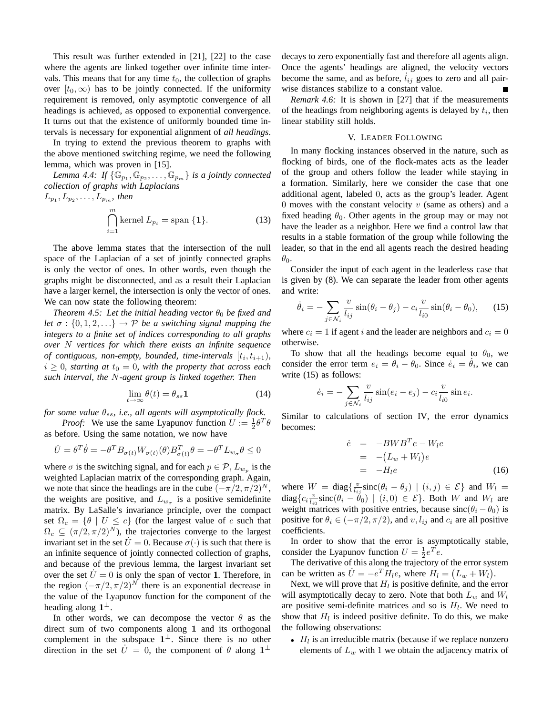This result was further extended in [21], [22] to the case where the agents are linked together over infinite time intervals. This means that for any time  $t_0$ , the collection of graphs over  $[t_0, \infty)$  has to be jointly connected. If the uniformity requirement is removed, only asymptotic convergence of all headings is achieved, as opposed to exponential convergence. It turns out that the existence of uniformly bounded time intervals is necessary for exponential alignment of *all headings*.

In trying to extend the previous theorem to graphs with the above mentioned switching regime, we need the following lemma, which was proven in [15].

Lemma 4.4: If  $\{\mathbb{G}_{p_1}, \mathbb{G}_{p_2}, \ldots, \mathbb{G}_{p_m}\}$  is a jointly connected *collection of graphs with Laplacians*

$$
L_{p_1}, L_{p_2}, \dots, L_{p_m}, \text{ then}
$$
  

$$
\bigcap_{i=1}^m \text{kernel } L_{p_i} = \text{span } \{1\}. \tag{13}
$$

The above lemma states that the intersection of the null space of the Laplacian of a set of jointly connected graphs is only the vector of ones. In other words, even though the graphs might be disconnected, and as a result their Laplacian have a larger kernel, the intersection is only the vector of ones. We can now state the following theorem:

*Theorem 4.5: Let the initial heading vector*  $\theta_0$  *be fixed and let*  $\sigma$  :  $\{0, 1, 2, \ldots\}$   $\rightarrow$  *P be a switching signal mapping the integers to a finite set of indices corresponding to all graphs over* N *vertices for which there exists an infinite sequence of contiguous, non-empty, bounded, time-intervals*  $[t_i, t_{i+1})$ ,  $i \geq 0$ *, starting at*  $t_0 = 0$ *, with the property that across each such interval, the* N*-agent group is linked together. Then*

$$
\lim_{t \to \infty} \theta(t) = \theta_{ss} \mathbf{1}
$$
\n(14)

*for some value*  $\theta_{ss}$ *, i.e., all agents will asymptotically flock.* 

*Proof:* We use the same Lyapunov function  $U := \frac{1}{2} \theta^T \theta$ as before. Using the same notation, we now have

$$
\dot{U} = \theta^T \dot{\theta} = -\theta^T B_{\sigma(t)} W_{\sigma(t)}(\theta) B_{\sigma(t)}^T \theta = -\theta^T L_{w_{\sigma}} \theta \le 0
$$

where  $\sigma$  is the switching signal, and for each  $p \in \mathcal{P}$ ,  $L_{w_p}$  is the weighted Laplacian matrix of the corresponding graph. Again, we note that since the headings are in the cube  $(-\pi/2, \pi/2)^N$ , the weights are positive, and  $L_{w_{\sigma}}$  is a positive semidefinite matrix. By LaSalle's invariance principle, over the compact set  $\Omega_c = \{ \theta \mid U \leq c \}$  (for the largest value of c such that  $\Omega_c \subseteq (\pi/2, \pi/2)^N$ , the trajectories converge to the largest invariant set in the set  $\dot{U} = 0$ . Because  $\sigma(\cdot)$  is such that there is an infinite sequence of jointly connected collection of graphs, and because of the previous lemma, the largest invariant set over the set  $U = 0$  is only the span of vector 1. Therefore, in the region  $(-\pi/2, \pi/2)^N$  there is an exponential decrease in the value of the Lyapunov function for the component of the heading along  $1^{\perp}$ .

In other words, we can decompose the vector  $\theta$  as the direct sum of two components along 1 and its orthogonal complement in the subspace  $1^{\perp}$ . Since there is no other direction in the set  $\dot{U} = 0$ , the component of  $\theta$  along  $1^{\perp}$ 

decays to zero exponentially fast and therefore all agents align. Once the agents' headings are aligned, the velocity vectors become the same, and as before,  $\hat{l}_{ij}$  goes to zero and all pairwise distances stabilize to a constant value.

*Remark 4.6:* It is shown in [27] that if the measurements of the headings from neighboring agents is delayed by  $t_i$ , then linear stability still holds.

#### V. LEADER FOLLOWING

In many flocking instances observed in the nature, such as flocking of birds, one of the flock-mates acts as the leader of the group and others follow the leader while staying in a formation. Similarly, here we consider the case that one additional agent, labeled 0, acts as the group's leader. Agent 0 moves with the constant velocity  $v$  (same as others) and a fixed heading  $\theta_0$ . Other agents in the group may or may not have the leader as a neighbor. Here we find a control law that results in a stable formation of the group while following the leader, so that in the end all agents reach the desired heading  $\theta_0$ .

Consider the input of each agent in the leaderless case that is given by (8). We can separate the leader from other agents and write:

$$
\dot{\theta}_i = -\sum_{j \in \mathcal{N}_i} \frac{v}{l_{ij}} \sin(\theta_i - \theta_j) - c_i \frac{v}{l_{i0}} \sin(\theta_i - \theta_0), \quad (15)
$$

where  $c_i = 1$  if agent i and the leader are neighbors and  $c_i = 0$ otherwise.

To show that all the headings become equal to  $\theta_0$ , we consider the error term  $e_i = \theta_i - \theta_0$ . Since  $\dot{e}_i = \dot{\theta}_i$ , we can write (15) as follows:

$$
\dot{e}_i = -\sum_{j \in \mathcal{N}_i} \frac{v}{l_{ij}} \sin(e_i - e_j) - c_i \frac{v}{l_{i0}} \sin e_i.
$$

Similar to calculations of section IV, the error dynamics becomes:

$$
\dot{e} = -BWB^{T}e - W_{l}e
$$
  
= -(L<sub>w</sub> + W<sub>l</sub>)e  
= -H<sub>l</sub>e (16)

where  $W = \text{diag}\left\{\frac{v}{l_{ij}}\text{sinc}(\theta_i - \theta_j) \mid (i,j) \in \mathcal{E}\right\}$  and  $W_l =$  $diag\{c_i \frac{v}{l_{i0}} \operatorname{sinc}(\theta_i - \theta_0) \mid (i,0) \in \mathcal{E}\}\.$  Both W and  $W_l$  are weight matrices with positive entries, because  $sinc(\theta_i - \theta_0)$  is positive for  $\theta_i \in (-\pi/2, \pi/2)$ , and  $v, l_{ij}$  and  $c_i$  are all positive coefficients.

In order to show that the error is asymptotically stable, consider the Lyapunov function  $U = \frac{1}{2}e^{T}e$ .

The derivative of this along the trajectory of the error system can be written as  $\dot{U} = -e^T \dot{H}_l e$ , where  $\dot{H}_l = (L_w + W_l)$ .

Next, we will prove that  $H_l$  is positive definite, and the error will asymptotically decay to zero. Note that both  $L_w$  and  $W_l$ are positive semi-definite matrices and so is  $H_l$ . We need to show that  $H_l$  is indeed positive definite. To do this, we make the following observations:

 $\bullet$   $H_l$  is an irreducible matrix (because if we replace nonzero elements of  $L_w$  with 1 we obtain the adjacency matrix of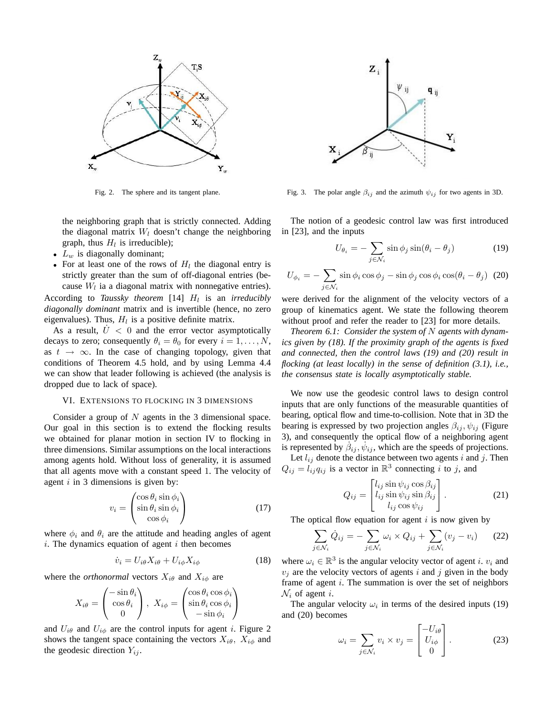

Fig. 2. The sphere and its tangent plane.

the neighboring graph that is strictly connected. Adding the diagonal matrix  $W_l$  doesn't change the neighboring graph, thus  $H_l$  is irreducible);

- $L_w$  is diagonally dominant;
- For at least one of the rows of  $H_l$  the diagonal entry is strictly greater than the sum of off-diagonal entries (because  $W_l$  ia a diagonal matrix with nonnegative entries).

According to *Taussky theorem* [14]  $H_l$  is an *irreducibly diagonally dominant* matrix and is invertible (hence, no zero eigenvalues). Thus,  $H_l$  is a positive definite matrix.

As a result,  $U < 0$  and the error vector asymptotically decays to zero; consequently  $\theta_i = \theta_0$  for every  $i = 1, ..., N$ , as  $t \rightarrow \infty$ . In the case of changing topology, given that conditions of Theorem 4.5 hold, and by using Lemma 4.4 we can show that leader following is achieved (the analysis is dropped due to lack of space).

### VI. EXTENSIONS TO FLOCKING IN 3 DIMENSIONS

Consider a group of  $N$  agents in the 3 dimensional space. Our goal in this section is to extend the flocking results we obtained for planar motion in section IV to flocking in three dimensions. Similar assumptions on the local interactions among agents hold. Without loss of generality, it is assumed that all agents move with a constant speed 1. The velocity of agent  $i$  in 3 dimensions is given by:

$$
v_i = \begin{pmatrix} \cos \theta_i \sin \phi_i \\ \sin \theta_i \sin \phi_i \\ \cos \phi_i \end{pmatrix}
$$
 (17)

where  $\phi_i$  and  $\theta_i$  are the attitude and heading angles of agent  $i$ . The dynamics equation of agent  $i$  then becomes

$$
\dot{v}_i = U_{i\theta} X_{i\theta} + U_{i\phi} X_{i\phi} \tag{18}
$$

where the *orthonormal* vectors  $X_{i\theta}$  and  $X_{i\phi}$  are

$$
X_{i\theta} = \begin{pmatrix} -\sin \theta_i \\ \cos \theta_i \\ 0 \end{pmatrix}, X_{i\phi} = \begin{pmatrix} \cos \theta_i \cos \phi_i \\ \sin \theta_i \cos \phi_i \\ -\sin \phi_i \end{pmatrix}
$$

and  $U_{i\theta}$  and  $U_{i\phi}$  are the control inputs for agent i. Figure 2 shows the tangent space containing the vectors  $X_{i\theta}$ ,  $X_{i\phi}$  and the geodesic direction  $Y_{ij}$ .



Fig. 3. The polar angle  $\beta_{ij}$  and the azimuth  $\psi_{ij}$  for two agents in 3D.

The notion of a geodesic control law was first introduced in [23], and the inputs

$$
U_{\theta_i} = -\sum_{j \in \mathcal{N}_i} \sin \phi_j \sin(\theta_i - \theta_j)
$$
 (19)

$$
U_{\phi_i} = -\sum_{j \in \mathcal{N}_i} \sin \phi_i \cos \phi_j - \sin \phi_j \cos \phi_i \cos(\theta_i - \theta_j)
$$
 (20)

were derived for the alignment of the velocity vectors of a group of kinematics agent. We state the following theorem without proof and refer the reader to [23] for more details.

*Theorem 6.1: Consider the system of* N *agents with dynamics given by (18). If the proximity graph of the agents is fixed and connected, then the control laws (19) and (20) result in flocking (at least locally) in the sense of definition (3.1), i.e., the consensus state is locally asymptotically stable.*

We now use the geodesic control laws to design control inputs that are only functions of the measurable quantities of bearing, optical flow and time-to-collision. Note that in 3D the bearing is expressed by two projection angles  $\beta_{ij}$ ,  $\psi_{ij}$  (Figure 3), and consequently the optical flow of a neighboring agent is represented by  $\beta_{ij}$ ,  $\psi_{ij}$ , which are the speeds of projections.

Let  $l_{ij}$  denote the distance between two agents i and j. Then  $Q_{ij} = l_{ij} q_{ij}$  is a vector in  $\mathbb{R}^3$  connecting i to j, and 

$$
Q_{ij} = \begin{bmatrix} l_{ij} \sin \psi_{ij} \cos \beta_{ij} \\ l_{ij} \sin \psi_{ij} \sin \beta_{ij} \\ l_{ij} \cos \psi_{ij} \end{bmatrix} . \tag{21}
$$

The optical flow equation for agent  $i$  is now given by

$$
\sum_{j \in \mathcal{N}_i} \dot{Q}_{ij} = -\sum_{j \in \mathcal{N}_i} \omega_i \times Q_{ij} + \sum_{j \in \mathcal{N}_i} (v_j - v_i) \tag{22}
$$

where  $\omega_i \in \mathbb{R}^3$  is the angular velocity vector of agent *i*.  $v_i$  and  $v_i$  are the velocity vectors of agents i and j given in the body frame of agent  $i$ . The summation is over the set of neighbors  $\mathcal{N}_i$  of agent *i*.

The angular velocity  $\omega_i$  in terms of the desired inputs (19) and (20) becomes  $\overline{a}$  $\overline{a}$ 

$$
\omega_i = \sum_{j \in \mathcal{N}_i} v_i \times v_j = \begin{bmatrix} -U_i \theta \\ U_{i\phi} \\ 0 \end{bmatrix} . \tag{23}
$$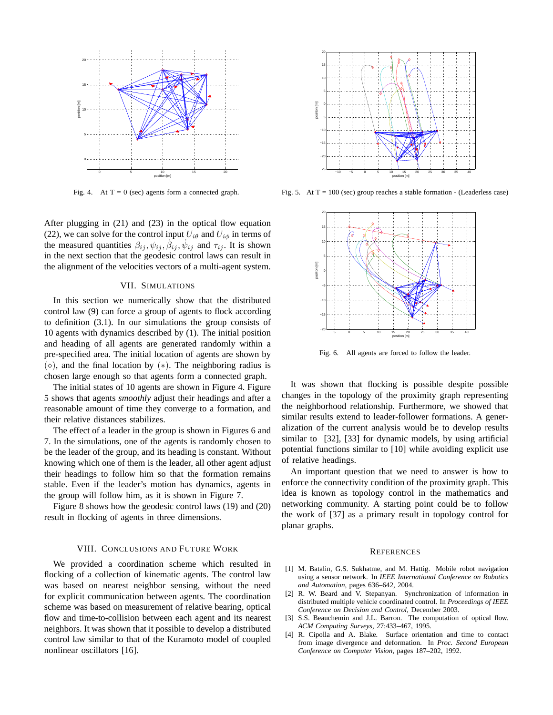

Fig. 4. At  $T = 0$  (sec) agents form a connected graph.

After plugging in (21) and (23) in the optical flow equation (22), we can solve for the control input  $U_{i\theta}$  and  $U_{i\phi}$  in terms of the measured quantities  $\beta_{ij}, \psi_{ij}, \dot{\beta}_{ij}, \dot{\psi}_{ij}$  and  $\tau_{ij}$ . It is shown in the next section that the geodesic control laws can result in the alignment of the velocities vectors of a multi-agent system.

#### VII. SIMULATIONS

In this section we numerically show that the distributed control law (9) can force a group of agents to flock according to definition (3.1). In our simulations the group consists of 10 agents with dynamics described by (1). The initial position and heading of all agents are generated randomly within a pre-specified area. The initial location of agents are shown by  $(\diamond)$ , and the final location by  $(*)$ . The neighboring radius is chosen large enough so that agents form a connected graph.

The initial states of 10 agents are shown in Figure 4. Figure 5 shows that agents *smoothly* adjust their headings and after a reasonable amount of time they converge to a formation, and their relative distances stabilizes.

The effect of a leader in the group is shown in Figures 6 and 7. In the simulations, one of the agents is randomly chosen to be the leader of the group, and its heading is constant. Without knowing which one of them is the leader, all other agent adjust their headings to follow him so that the formation remains stable. Even if the leader's motion has dynamics, agents in the group will follow him, as it is shown in Figure 7.

Figure 8 shows how the geodesic control laws (19) and (20) result in flocking of agents in three dimensions.

## VIII. CONCLUSIONS AND FUTURE WORK

We provided a coordination scheme which resulted in flocking of a collection of kinematic agents. The control law was based on nearest neighbor sensing, without the need for explicit communication between agents. The coordination scheme was based on measurement of relative bearing, optical flow and time-to-collision between each agent and its nearest neighbors. It was shown that it possible to develop a distributed control law similar to that of the Kuramoto model of coupled nonlinear oscillators [16].



Fig. 5. At  $T = 100$  (sec) group reaches a stable formation - (Leaderless case)



Fig. 6. All agents are forced to follow the leader.

It was shown that flocking is possible despite possible changes in the topology of the proximity graph representing the neighborhood relationship. Furthermore, we showed that similar results extend to leader-follower formations. A generalization of the current analysis would be to develop results similar to [32], [33] for dynamic models, by using artificial potential functions similar to [10] while avoiding explicit use of relative headings.

An important question that we need to answer is how to enforce the connectivity condition of the proximity graph. This idea is known as topology control in the mathematics and networking community. A starting point could be to follow the work of [37] as a primary result in topology control for planar graphs.

#### **REFERENCES**

- [1] M. Batalin, G.S. Sukhatme, and M. Hattig. Mobile robot navigation using a sensor network. In *IEEE International Conference on Robotics and Automation*, pages 636–642, 2004.
- [2] R. W. Beard and V. Stepanyan. Synchronization of information in distributed multiple vehicle coordinated control. In *Proceedings of IEEE Conference on Decision and Control*, December 2003.
- [3] S.S. Beauchemin and J.L. Barron. The computation of optical flow. *ACM Computing Surveys*, 27:433–467, 1995.
- [4] R. Cipolla and A. Blake. Surface orientation and time to contact from image divergence and deformation. In *Proc. Second European Conference on Computer Vision*, pages 187–202, 1992.